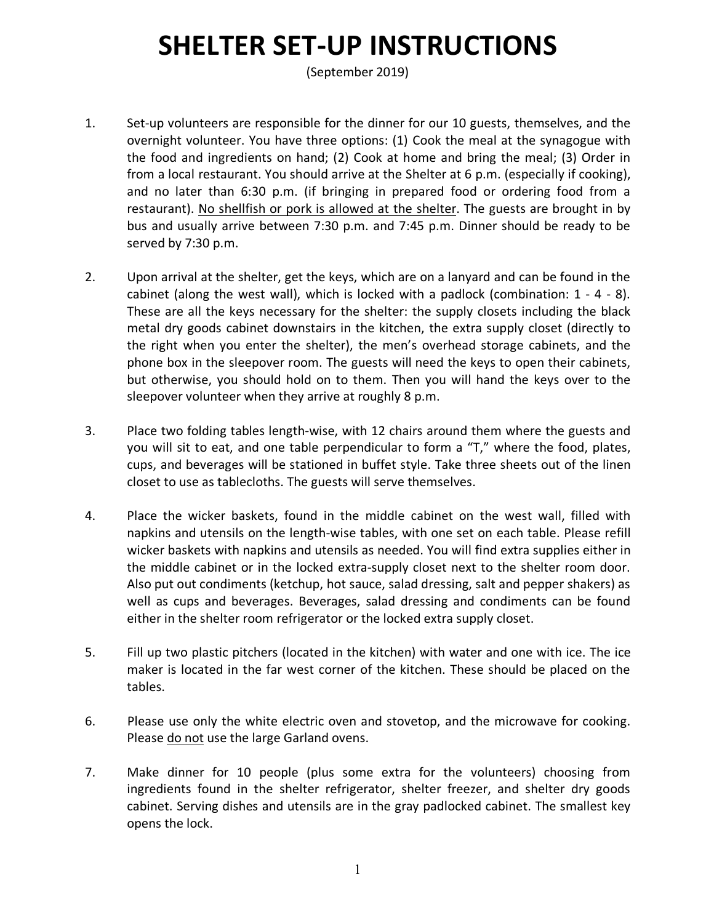## **SHELTER SET-UP INSTRUCTIONS**

(September 2019)

- 1. Set-up volunteers are responsible for the dinner for our 10 guests, themselves, and the overnight volunteer. You have three options: (1) Cook the meal at the synagogue with the food and ingredients on hand; (2) Cook at home and bring the meal; (3) Order in from a local restaurant. You should arrive at the Shelter at 6 p.m. (especially if cooking), and no later than 6:30 p.m. (if bringing in prepared food or ordering food from a restaurant). No shellfish or pork is allowed at the shelter. The guests are brought in by bus and usually arrive between 7:30 p.m. and 7:45 p.m. Dinner should be ready to be served by 7:30 p.m.
- 2. Upon arrival at the shelter, get the keys, which are on a lanyard and can be found in the cabinet (along the west wall), which is locked with a padlock (combination: 1 - 4 - 8). These are all the keys necessary for the shelter: the supply closets including the black metal dry goods cabinet downstairs in the kitchen, the extra supply closet (directly to the right when you enter the shelter), the men's overhead storage cabinets, and the phone box in the sleepover room. The guests will need the keys to open their cabinets, but otherwise, you should hold on to them. Then you will hand the keys over to the sleepover volunteer when they arrive at roughly 8 p.m.
- 3. Place two folding tables length-wise, with 12 chairs around them where the guests and you will sit to eat, and one table perpendicular to form a "T," where the food, plates, cups, and beverages will be stationed in buffet style. Take three sheets out of the linen closet to use as tablecloths. The guests will serve themselves.
- 4. Place the wicker baskets, found in the middle cabinet on the west wall, filled with napkins and utensils on the length-wise tables, with one set on each table. Please refill wicker baskets with napkins and utensils as needed. You will find extra supplies either in the middle cabinet or in the locked extra-supply closet next to the shelter room door. Also put out condiments (ketchup, hot sauce, salad dressing, salt and pepper shakers) as well as cups and beverages. Beverages, salad dressing and condiments can be found either in the shelter room refrigerator or the locked extra supply closet.
- 5. Fill up two plastic pitchers (located in the kitchen) with water and one with ice. The ice maker is located in the far west corner of the kitchen. These should be placed on the tables.
- 6. Please use only the white electric oven and stovetop, and the microwave for cooking. Please do not use the large Garland ovens.
- 7. Make dinner for 10 people (plus some extra for the volunteers) choosing from ingredients found in the shelter refrigerator, shelter freezer, and shelter dry goods cabinet. Serving dishes and utensils are in the gray padlocked cabinet. The smallest key opens the lock.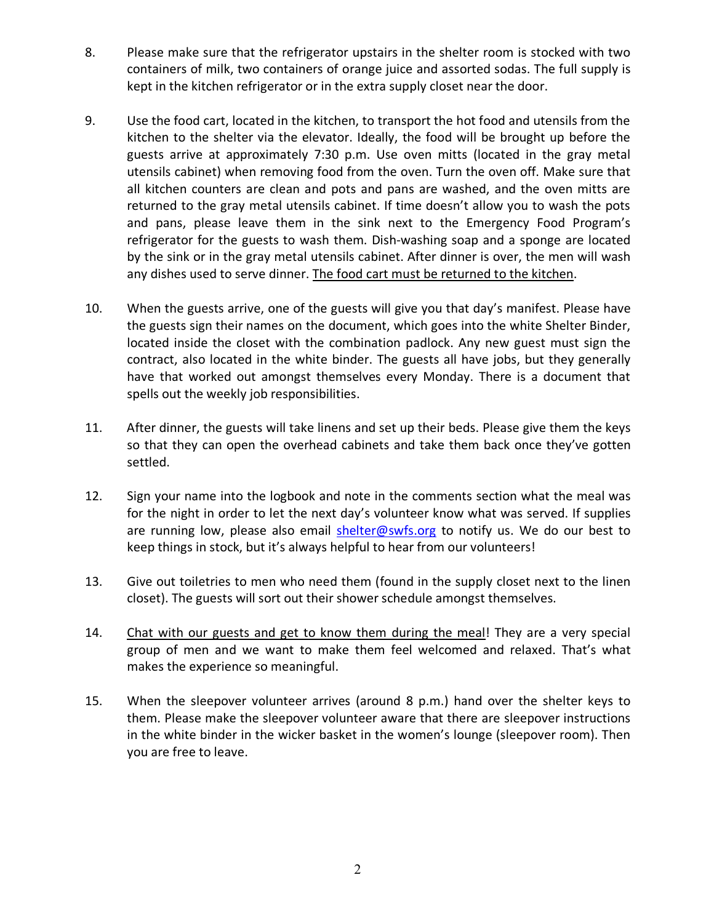- 8. Please make sure that the refrigerator upstairs in the shelter room is stocked with two containers of milk, two containers of orange juice and assorted sodas. The full supply is kept in the kitchen refrigerator or in the extra supply closet near the door.
- 9. Use the food cart, located in the kitchen, to transport the hot food and utensils from the kitchen to the shelter via the elevator. Ideally, the food will be brought up before the guests arrive at approximately 7:30 p.m. Use oven mitts (located in the gray metal utensils cabinet) when removing food from the oven. Turn the oven off. Make sure that all kitchen counters are clean and pots and pans are washed, and the oven mitts are returned to the gray metal utensils cabinet. If time doesn't allow you to wash the pots and pans, please leave them in the sink next to the Emergency Food Program's refrigerator for the guests to wash them. Dish-washing soap and a sponge are located by the sink or in the gray metal utensils cabinet. After dinner is over, the men will wash any dishes used to serve dinner. The food cart must be returned to the kitchen.
- 10. When the guests arrive, one of the guests will give you that day's manifest. Please have the guests sign their names on the document, which goes into the white Shelter Binder, located inside the closet with the combination padlock. Any new guest must sign the contract, also located in the white binder. The guests all have jobs, but they generally have that worked out amongst themselves every Monday. There is a document that spells out the weekly job responsibilities.
- 11. After dinner, the guests will take linens and set up their beds. Please give them the keys so that they can open the overhead cabinets and take them back once they've gotten settled.
- 12. Sign your name into the logbook and note in the comments section what the meal was for the night in order to let the next day's volunteer know what was served. If supplies are running low, please also email shelter@swfs.org to notify us. We do our best to keep things in stock, but it's always helpful to hear from our volunteers!
- 13. Give out toiletries to men who need them (found in the supply closet next to the linen closet). The guests will sort out their shower schedule amongst themselves.
- 14. Chat with our guests and get to know them during the meal! They are a very special group of men and we want to make them feel welcomed and relaxed. That's what makes the experience so meaningful.
- 15. When the sleepover volunteer arrives (around 8 p.m.) hand over the shelter keys to them. Please make the sleepover volunteer aware that there are sleepover instructions in the white binder in the wicker basket in the women's lounge (sleepover room). Then you are free to leave.